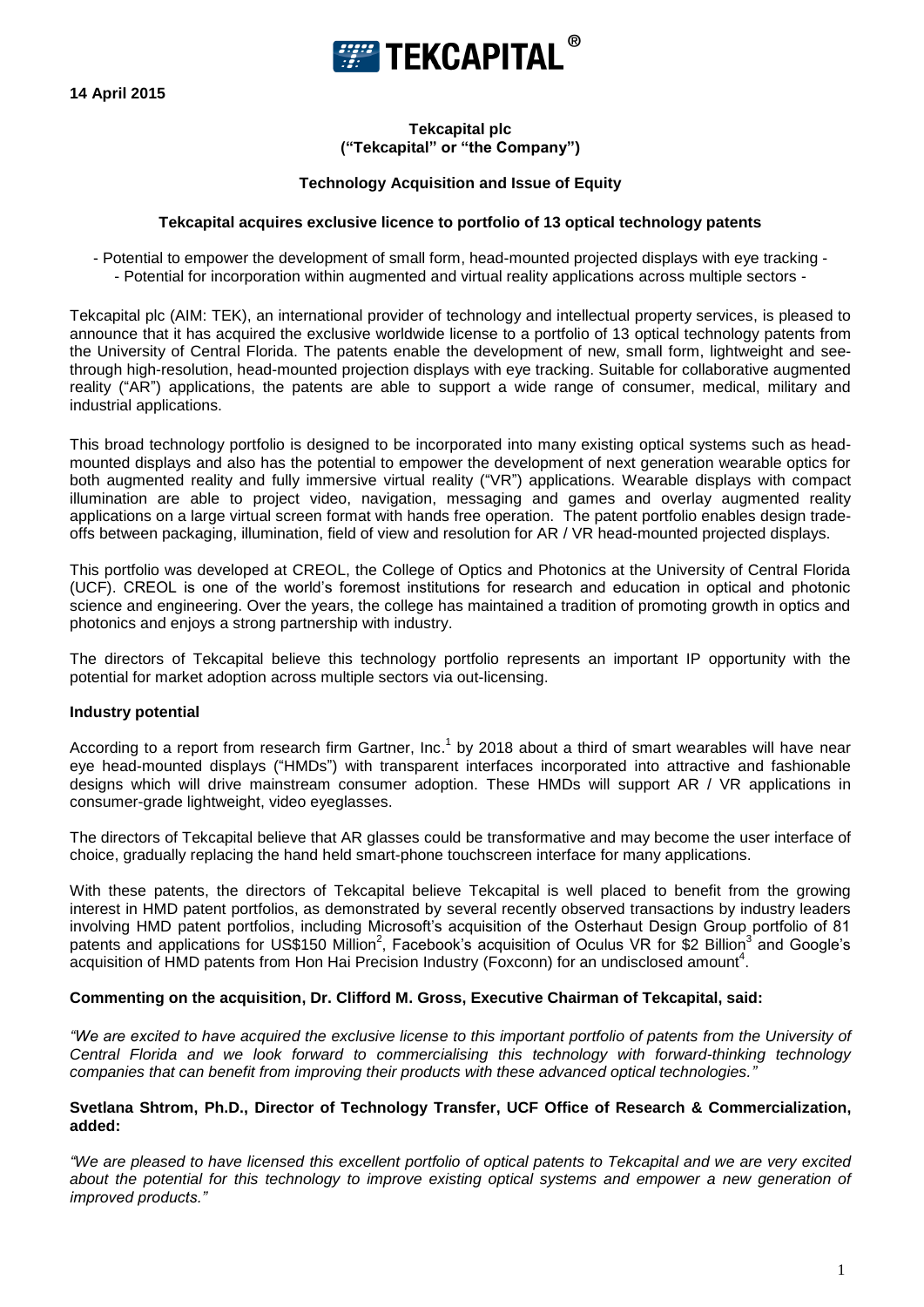



**Tekcapital plc ("Tekcapital" or "the Company")**

## **Technology Acquisition and Issue of Equity**

### **Tekcapital acquires exclusive licence to portfolio of 13 optical technology patents**

- Potential to empower the development of small form, head-mounted projected displays with eye tracking - - Potential for incorporation within augmented and virtual reality applications across multiple sectors -

Tekcapital plc (AIM: TEK), an international provider of technology and intellectual property services, is pleased to announce that it has acquired the exclusive worldwide license to a portfolio of 13 optical technology patents from the University of Central Florida. The patents enable the development of new, small form, lightweight and seethrough high-resolution, head-mounted projection displays with eye tracking. Suitable for collaborative augmented reality ("AR") applications, the patents are able to support a wide range of consumer, medical, military and industrial applications.

This broad technology portfolio is designed to be incorporated into many existing optical systems such as headmounted displays and also has the potential to empower the development of next generation wearable optics for both augmented reality and fully immersive virtual reality ("VR") applications. Wearable displays with compact illumination are able to project video, navigation, messaging and games and overlay augmented reality applications on a large virtual screen format with hands free operation. The patent portfolio enables design tradeoffs between packaging, illumination, field of view and resolution for AR / VR head-mounted projected displays.

This portfolio was developed at CREOL, the College of Optics and Photonics at the University of Central Florida (UCF). CREOL is one of the world's foremost institutions for research and education in optical and photonic science and engineering. Over the years, the college has maintained a tradition of promoting growth in optics and photonics and enjoys a strong partnership with industry.

The directors of Tekcapital believe this technology portfolio represents an important IP opportunity with the potential for market adoption across multiple sectors via out-licensing.

# **Industry potential**

According to a report from research firm Gartner, Inc.<sup>1</sup> by 2018 about a third of smart wearables will have near eye head-mounted displays ("HMDs") with transparent interfaces incorporated into attractive and fashionable designs which will drive mainstream consumer adoption. These HMDs will support AR / VR applications in consumer-grade lightweight, video eyeglasses.

The directors of Tekcapital believe that AR glasses could be transformative and may become the user interface of choice, gradually replacing the hand held smart-phone touchscreen interface for many applications.

With these patents, the directors of Tekcapital believe Tekcapital is well placed to benefit from the growing interest in HMD patent portfolios, as demonstrated by several recently observed transactions by industry leaders involving HMD patent portfolios, including Microsoft's acquisition of the Osterhaut Design Group portfolio of 81 patents and applications for US\$150 Million<sup>2</sup>, Facebook's acquisition of Oculus VR for \$2 Billion<sup>3</sup> and Google's acquisition of HMD patents from Hon Hai Precision Industry (Foxconn) for an undisclosed amount<sup>4</sup>.

#### **Commenting on the acquisition, Dr. Clifford M. Gross, Executive Chairman of Tekcapital, said:**

*"We are excited to have acquired the exclusive license to this important portfolio of patents from the University of Central Florida and we look forward to commercialising this technology with forward-thinking technology companies that can benefit from improving their products with these advanced optical technologies."* 

#### **Svetlana Shtrom, Ph.D., Director of Technology Transfer, UCF Office of Research & Commercialization, added:**

*"We are pleased to have licensed this excellent portfolio of optical patents to Tekcapital and we are very excited*  about the potential for this technology to improve existing optical systems and empower a new generation of *improved products."*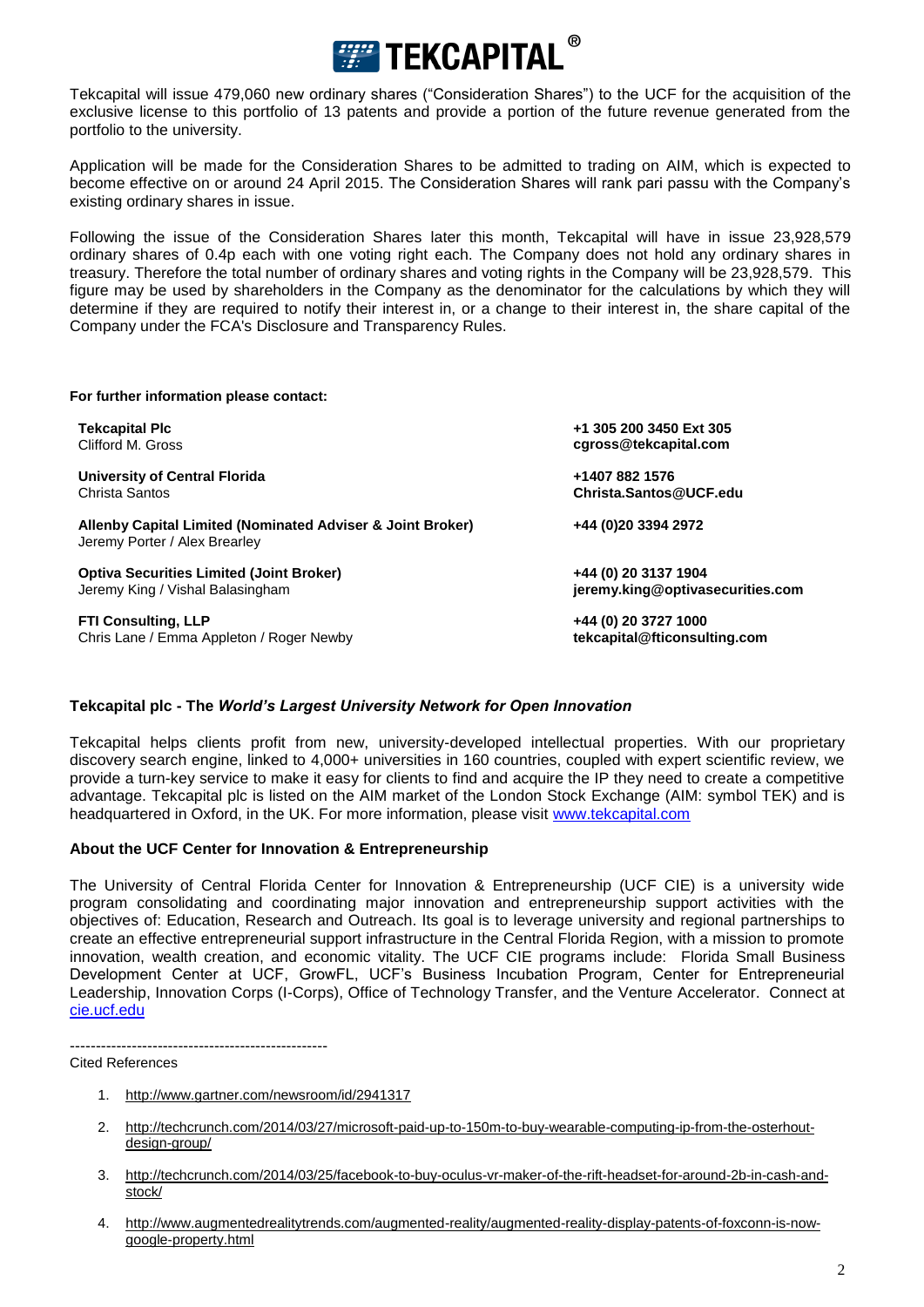

Tekcapital will issue 479,060 new ordinary shares ("Consideration Shares") to the UCF for the acquisition of the exclusive license to this portfolio of 13 patents and provide a portion of the future revenue generated from the portfolio to the university.

Application will be made for the Consideration Shares to be admitted to trading on AIM, which is expected to become effective on or around 24 April 2015. The Consideration Shares will rank pari passu with the Company's existing ordinary shares in issue.

Following the issue of the Consideration Shares later this month, Tekcapital will have in issue 23,928,579 ordinary shares of 0.4p each with one voting right each. The Company does not hold any ordinary shares in treasury. Therefore the total number of ordinary shares and voting rights in the Company will be 23,928,579. This figure may be used by shareholders in the Company as the denominator for the calculations by which they will determine if they are required to notify their interest in, or a change to their interest in, the share capital of the Company under the FCA's Disclosure and Transparency Rules.

#### **For further information please contact:**

**University of Central Florida +1407 882 1576** Christa Santos **Christa.Santos@UCF.edu**

**Allenby Capital Limited (Nominated Adviser & Joint Broker) +44 (0)20 3394 2972** Jeremy Porter / Alex Brearley

**Optiva Securities Limited (Joint Broker)**<br>
Jeremy King / Vishal Balasingham<br> **ieremy King @optivasecurities.com Jeremy King / Vishal Balasingham** 

**FTI Consulting, LLP**<br>
Chris Lane / Emma Appleton / Roger Newby<br> **tekcapital@fticonsulting.com**<br> **tekcapital@fticonsulting.com** Chris Lane / Emma Appleton / Roger Newby

**Tekcapital Plc +1 305 200 3450 Ext 305** Clifford M. Gross **[cgross@tekcapital.com](mailto:cgross@tekcapital.com)**

## **Tekcapital plc - The** *World's Largest University Network for Open Innovation*

Tekcapital helps clients profit from new, university-developed intellectual properties. With our proprietary discovery search engine, linked to 4,000+ universities in 160 countries, coupled with expert scientific review, we provide a turn-key service to make it easy for clients to find and acquire the IP they need to create a competitive advantage. Tekcapital plc is listed on the AIM market of the London Stock Exchange (AIM: symbol TEK) and is headquartered in Oxford, in the UK. For more information, please visit [www.tekcapital.com](http://www.tekcapital.com/)

### **About the UCF Center for Innovation & Entrepreneurship**

The University of Central Florida Center for Innovation & Entrepreneurship (UCF CIE) is a university wide program consolidating and coordinating major innovation and entrepreneurship support activities with the objectives of: Education, Research and Outreach. Its goal is to leverage university and regional partnerships to create an effective entrepreneurial support infrastructure in the Central Florida Region, with a mission to promote innovation, wealth creation, and economic vitality. The UCF CIE programs include: Florida Small Business Development Center at UCF, GrowFL, UCF's Business Incubation Program, Center for Entrepreneurial Leadership, Innovation Corps (I-Corps), Office of Technology Transfer, and the Venture Accelerator. Connect at [cie.ucf.edu](file:///C:/Users/jbenne1/AppData/Local/Microsoft/Windows/Temporary%20Internet%20Files/Content.Outlook/3R9X4KQA/cie.ucf.edu) 

--------------------------------------------------

Cited References

- 1. <http://www.gartner.com/newsroom/id/2941317>
- 2. [http://techcrunch.com/2014/03/27/microsoft-paid-up-to-150m-to-buy-wearable-computing-ip-from-the-osterhout](http://techcrunch.com/2014/03/27/microsoft-paid-up-to-150m-to-buy-wearable-computing-ip-from-the-osterhout-design-group/)[design-group/](http://techcrunch.com/2014/03/27/microsoft-paid-up-to-150m-to-buy-wearable-computing-ip-from-the-osterhout-design-group/)
- 3. [http://techcrunch.com/2014/03/25/facebook-to-buy-oculus-vr-maker-of-the-rift-headset-for-around-2b-in-cash-and](http://techcrunch.com/2014/03/25/facebook-to-buy-oculus-vr-maker-of-the-rift-headset-for-around-2b-in-cash-and-stock/)[stock/](http://techcrunch.com/2014/03/25/facebook-to-buy-oculus-vr-maker-of-the-rift-headset-for-around-2b-in-cash-and-stock/)
- 4. [http://www.augmentedrealitytrends.com/augmented-reality/augmented-reality-display-patents-of-foxconn-is-now](http://www.augmentedrealitytrends.com/augmented-reality/augmented-reality-display-patents-of-foxconn-is-now-google-property.html)[google-property.html](http://www.augmentedrealitytrends.com/augmented-reality/augmented-reality-display-patents-of-foxconn-is-now-google-property.html)